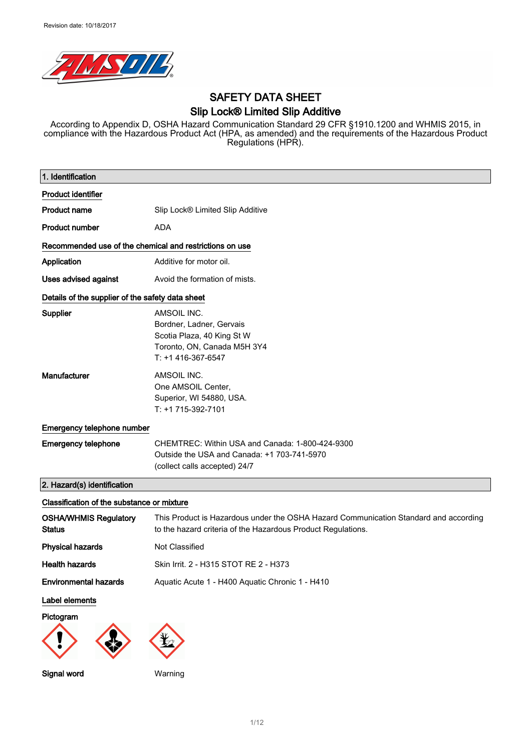

## SAFETY DATA SHEET Slip Lock® Limited Slip Additive

According to Appendix D, OSHA Hazard Communication Standard 29 CFR §1910.1200 and WHMIS 2015, in compliance with the Hazardous Product Act (HPA, as amended) and the requirements of the Hazardous Product Regulations (HPR).

| 1. Identification                                       |                                                                                                                                                      |  |
|---------------------------------------------------------|------------------------------------------------------------------------------------------------------------------------------------------------------|--|
| <b>Product identifier</b>                               |                                                                                                                                                      |  |
| <b>Product name</b>                                     | Slip Lock® Limited Slip Additive                                                                                                                     |  |
|                                                         |                                                                                                                                                      |  |
| <b>Product number</b>                                   | <b>ADA</b>                                                                                                                                           |  |
| Recommended use of the chemical and restrictions on use |                                                                                                                                                      |  |
| Application                                             | Additive for motor oil.                                                                                                                              |  |
| <b>Uses advised against</b>                             | Avoid the formation of mists.                                                                                                                        |  |
| Details of the supplier of the safety data sheet        |                                                                                                                                                      |  |
| Supplier                                                | AMSOIL INC.<br>Bordner, Ladner, Gervais<br>Scotia Plaza, 40 King St W<br>Toronto, ON, Canada M5H 3Y4<br>T: +1 416-367-6547                           |  |
| <b>Manufacturer</b>                                     | AMSOIL INC.<br>One AMSOIL Center,<br>Superior, WI 54880, USA.<br>T: +1 715-392-7101                                                                  |  |
| Emergency telephone number                              |                                                                                                                                                      |  |
| <b>Emergency telephone</b>                              | CHEMTREC: Within USA and Canada: 1-800-424-9300<br>Outside the USA and Canada: +1 703-741-5970<br>(collect calls accepted) 24/7                      |  |
| 2. Hazard(s) identification                             |                                                                                                                                                      |  |
| Classification of the substance or mixture              |                                                                                                                                                      |  |
| <b>OSHA/WHMIS Regulatory</b><br><b>Status</b>           | This Product is Hazardous under the OSHA Hazard Communication Standard and according<br>to the hazard criteria of the Hazardous Product Regulations. |  |
| <b>Physical hazards</b>                                 | <b>Not Classified</b>                                                                                                                                |  |
| <b>Health hazards</b>                                   | Skin Irrit. 2 - H315 STOT RE 2 - H373                                                                                                                |  |
| <b>Environmental hazards</b>                            | Aquatic Acute 1 - H400 Aquatic Chronic 1 - H410                                                                                                      |  |
| Label elements                                          |                                                                                                                                                      |  |
| Pictogram<br>Signal word                                | Warning                                                                                                                                              |  |
|                                                         |                                                                                                                                                      |  |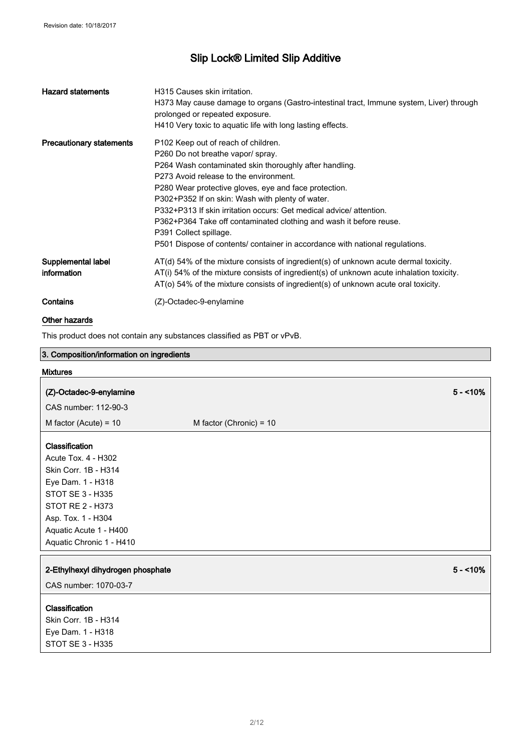| <b>Hazard statements</b>          | H315 Causes skin irritation.<br>H373 May cause damage to organs (Gastro-intestinal tract, Immune system, Liver) through<br>prolonged or repeated exposure.<br>H410 Very toxic to aquatic life with long lasting effects.                                                                                                                                                                                                                                                                                                                                     |
|-----------------------------------|--------------------------------------------------------------------------------------------------------------------------------------------------------------------------------------------------------------------------------------------------------------------------------------------------------------------------------------------------------------------------------------------------------------------------------------------------------------------------------------------------------------------------------------------------------------|
| <b>Precautionary statements</b>   | P <sub>102</sub> Keep out of reach of children.<br>P260 Do not breathe vapor/ spray.<br>P264 Wash contaminated skin thoroughly after handling.<br>P273 Avoid release to the environment.<br>P280 Wear protective gloves, eye and face protection.<br>P302+P352 If on skin: Wash with plenty of water.<br>P332+P313 If skin irritation occurs: Get medical advice/ attention.<br>P362+P364 Take off contaminated clothing and wash it before reuse.<br>P391 Collect spillage.<br>P501 Dispose of contents/ container in accordance with national regulations. |
| Supplemental label<br>information | $AT(d)$ 54% of the mixture consists of ingredient(s) of unknown acute dermal toxicity.<br>AT(i) 54% of the mixture consists of ingredient(s) of unknown acute inhalation toxicity.<br>$AT$ (o) 54% of the mixture consists of ingredient(s) of unknown acute oral toxicity.                                                                                                                                                                                                                                                                                  |
| Contains                          | (Z)-Octadec-9-enylamine                                                                                                                                                                                                                                                                                                                                                                                                                                                                                                                                      |

### Other hazards

This product does not contain any substances classified as PBT or vPvB.

| 3. Composition/information on ingredients |                           |           |
|-------------------------------------------|---------------------------|-----------|
| <b>Mixtures</b>                           |                           |           |
| (Z)-Octadec-9-enylamine                   |                           | $5 - 10%$ |
| CAS number: 112-90-3                      |                           |           |
| M factor (Acute) = $10$                   | M factor (Chronic) = $10$ |           |
|                                           |                           |           |
| Classification                            |                           |           |
| Acute Tox. 4 - H302                       |                           |           |
| Skin Corr. 1B - H314                      |                           |           |
| Eye Dam. 1 - H318                         |                           |           |
| <b>STOT SE 3 - H335</b>                   |                           |           |
| <b>STOT RE 2 - H373</b>                   |                           |           |
| Asp. Tox. 1 - H304                        |                           |           |
| Aquatic Acute 1 - H400                    |                           |           |
| Aquatic Chronic 1 - H410                  |                           |           |
|                                           |                           |           |
| 2-Ethylhexyl dihydrogen phosphate         |                           | $5 - 10%$ |
| CAS number: 1070-03-7                     |                           |           |
| Classification                            |                           |           |
| Skin Corr. 1B - H314                      |                           |           |
| Eye Dam. 1 - H318                         |                           |           |
| STOT SE 3 - H335                          |                           |           |
|                                           |                           |           |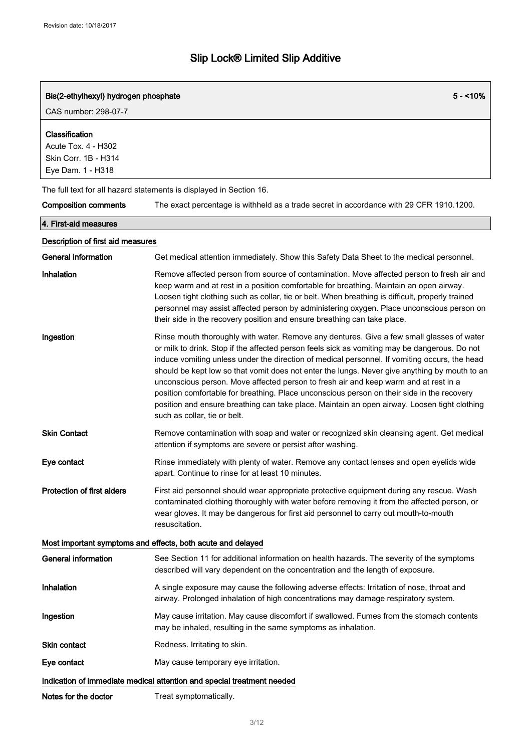| Bis(2-ethylhexyl) hydrogen phosphate<br>CAS number: 298-07-7                       | $5 - 10\%$                                                                                                                                                                                                                                                                                                                                                                                                                                                                                                                                                                                                                                                                                                         |  |
|------------------------------------------------------------------------------------|--------------------------------------------------------------------------------------------------------------------------------------------------------------------------------------------------------------------------------------------------------------------------------------------------------------------------------------------------------------------------------------------------------------------------------------------------------------------------------------------------------------------------------------------------------------------------------------------------------------------------------------------------------------------------------------------------------------------|--|
| Classification<br>Acute Tox. 4 - H302<br>Skin Corr. 1B - H314<br>Eye Dam. 1 - H318 |                                                                                                                                                                                                                                                                                                                                                                                                                                                                                                                                                                                                                                                                                                                    |  |
|                                                                                    | The full text for all hazard statements is displayed in Section 16.                                                                                                                                                                                                                                                                                                                                                                                                                                                                                                                                                                                                                                                |  |
| <b>Composition comments</b>                                                        | The exact percentage is withheld as a trade secret in accordance with 29 CFR 1910.1200.                                                                                                                                                                                                                                                                                                                                                                                                                                                                                                                                                                                                                            |  |
| 4. First-aid measures                                                              |                                                                                                                                                                                                                                                                                                                                                                                                                                                                                                                                                                                                                                                                                                                    |  |
| Description of first aid measures                                                  |                                                                                                                                                                                                                                                                                                                                                                                                                                                                                                                                                                                                                                                                                                                    |  |
| <b>General information</b>                                                         | Get medical attention immediately. Show this Safety Data Sheet to the medical personnel.                                                                                                                                                                                                                                                                                                                                                                                                                                                                                                                                                                                                                           |  |
| Inhalation                                                                         | Remove affected person from source of contamination. Move affected person to fresh air and<br>keep warm and at rest in a position comfortable for breathing. Maintain an open airway.<br>Loosen tight clothing such as collar, tie or belt. When breathing is difficult, properly trained<br>personnel may assist affected person by administering oxygen. Place unconscious person on<br>their side in the recovery position and ensure breathing can take place.                                                                                                                                                                                                                                                 |  |
| Ingestion                                                                          | Rinse mouth thoroughly with water. Remove any dentures. Give a few small glasses of water<br>or milk to drink. Stop if the affected person feels sick as vomiting may be dangerous. Do not<br>induce vomiting unless under the direction of medical personnel. If vomiting occurs, the head<br>should be kept low so that vomit does not enter the lungs. Never give anything by mouth to an<br>unconscious person. Move affected person to fresh air and keep warm and at rest in a<br>position comfortable for breathing. Place unconscious person on their side in the recovery<br>position and ensure breathing can take place. Maintain an open airway. Loosen tight clothing<br>such as collar, tie or belt. |  |
| <b>Skin Contact</b>                                                                | Remove contamination with soap and water or recognized skin cleansing agent. Get medical<br>attention if symptoms are severe or persist after washing.                                                                                                                                                                                                                                                                                                                                                                                                                                                                                                                                                             |  |
| Eye contact                                                                        | Rinse immediately with plenty of water. Remove any contact lenses and open eyelids wide<br>apart. Continue to rinse for at least 10 minutes.                                                                                                                                                                                                                                                                                                                                                                                                                                                                                                                                                                       |  |
| <b>Protection of first aiders</b>                                                  | First aid personnel should wear appropriate protective equipment during any rescue. Wash<br>contaminated clothing thoroughly with water before removing it from the affected person, or<br>wear gloves. It may be dangerous for first aid personnel to carry out mouth-to-mouth<br>resuscitation.                                                                                                                                                                                                                                                                                                                                                                                                                  |  |
|                                                                                    | Most important symptoms and effects, both acute and delayed                                                                                                                                                                                                                                                                                                                                                                                                                                                                                                                                                                                                                                                        |  |
| <b>General information</b>                                                         | See Section 11 for additional information on health hazards. The severity of the symptoms<br>described will vary dependent on the concentration and the length of exposure.                                                                                                                                                                                                                                                                                                                                                                                                                                                                                                                                        |  |
| Inhalation                                                                         | A single exposure may cause the following adverse effects: Irritation of nose, throat and<br>airway. Prolonged inhalation of high concentrations may damage respiratory system.                                                                                                                                                                                                                                                                                                                                                                                                                                                                                                                                    |  |
| Ingestion                                                                          | May cause irritation. May cause discomfort if swallowed. Fumes from the stomach contents<br>may be inhaled, resulting in the same symptoms as inhalation.                                                                                                                                                                                                                                                                                                                                                                                                                                                                                                                                                          |  |
| <b>Skin contact</b>                                                                | Redness. Irritating to skin.                                                                                                                                                                                                                                                                                                                                                                                                                                                                                                                                                                                                                                                                                       |  |
| Eye contact                                                                        | May cause temporary eye irritation.                                                                                                                                                                                                                                                                                                                                                                                                                                                                                                                                                                                                                                                                                |  |
| Indication of immediate medical attention and special treatment needed             |                                                                                                                                                                                                                                                                                                                                                                                                                                                                                                                                                                                                                                                                                                                    |  |
| Notes for the doctor                                                               | Treat symptomatically.                                                                                                                                                                                                                                                                                                                                                                                                                                                                                                                                                                                                                                                                                             |  |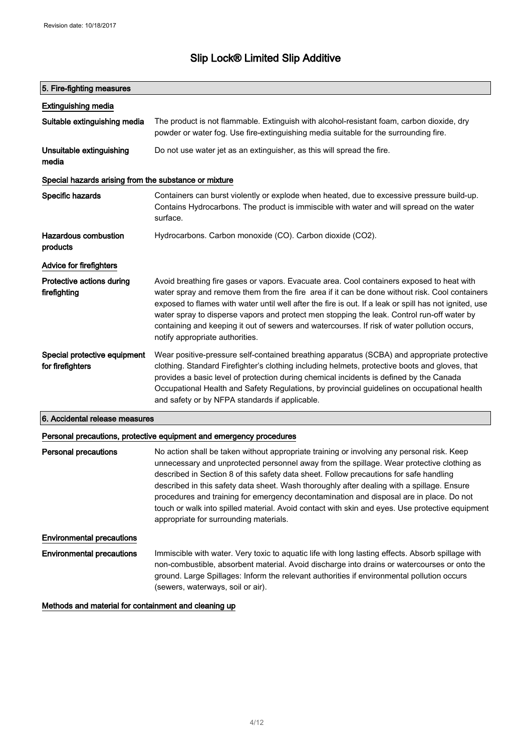### 5. Fire-fighting measures

| <b>Extinguishing media</b>                            |                                                                                                                                                                                                                                                                                                                                                                                                                                                                                                                                        |  |
|-------------------------------------------------------|----------------------------------------------------------------------------------------------------------------------------------------------------------------------------------------------------------------------------------------------------------------------------------------------------------------------------------------------------------------------------------------------------------------------------------------------------------------------------------------------------------------------------------------|--|
| Suitable extinguishing media                          | The product is not flammable. Extinguish with alcohol-resistant foam, carbon dioxide, dry<br>powder or water fog. Use fire-extinguishing media suitable for the surrounding fire.                                                                                                                                                                                                                                                                                                                                                      |  |
| Unsuitable extinguishing<br>media                     | Do not use water jet as an extinguisher, as this will spread the fire.                                                                                                                                                                                                                                                                                                                                                                                                                                                                 |  |
| Special hazards arising from the substance or mixture |                                                                                                                                                                                                                                                                                                                                                                                                                                                                                                                                        |  |
| Specific hazards                                      | Containers can burst violently or explode when heated, due to excessive pressure build-up.<br>Contains Hydrocarbons. The product is immiscible with water and will spread on the water<br>surface.                                                                                                                                                                                                                                                                                                                                     |  |
| Hazardous combustion<br>products                      | Hydrocarbons. Carbon monoxide (CO). Carbon dioxide (CO2).                                                                                                                                                                                                                                                                                                                                                                                                                                                                              |  |
| Advice for firefighters                               |                                                                                                                                                                                                                                                                                                                                                                                                                                                                                                                                        |  |
| Protective actions during<br>firefighting             | Avoid breathing fire gases or vapors. Evacuate area. Cool containers exposed to heat with<br>water spray and remove them from the fire area if it can be done without risk. Cool containers<br>exposed to flames with water until well after the fire is out. If a leak or spill has not ignited, use<br>water spray to disperse vapors and protect men stopping the leak. Control run-off water by<br>containing and keeping it out of sewers and watercourses. If risk of water pollution occurs,<br>notify appropriate authorities. |  |
| Special protective equipment<br>for firefighters      | Wear positive-pressure self-contained breathing apparatus (SCBA) and appropriate protective<br>clothing. Standard Firefighter's clothing including helmets, protective boots and gloves, that<br>provides a basic level of protection during chemical incidents is defined by the Canada<br>Occupational Health and Safety Regulations, by provincial guidelines on occupational health<br>and safety or by NFPA standards if applicable.                                                                                              |  |

### 6. Accidental release measures

#### Personal precautions, protective equipment and emergency procedures

| <b>Personal precautions</b>      | No action shall be taken without appropriate training or involving any personal risk. Keep<br>unnecessary and unprotected personnel away from the spillage. Wear protective clothing as<br>described in Section 8 of this safety data sheet. Follow precautions for safe handling<br>described in this safety data sheet. Wash thoroughly after dealing with a spillage. Ensure<br>procedures and training for emergency decontamination and disposal are in place. Do not<br>touch or walk into spilled material. Avoid contact with skin and eyes. Use protective equipment<br>appropriate for surrounding materials. |
|----------------------------------|-------------------------------------------------------------------------------------------------------------------------------------------------------------------------------------------------------------------------------------------------------------------------------------------------------------------------------------------------------------------------------------------------------------------------------------------------------------------------------------------------------------------------------------------------------------------------------------------------------------------------|
| <b>Environmental precautions</b> |                                                                                                                                                                                                                                                                                                                                                                                                                                                                                                                                                                                                                         |
| <b>Environmental precautions</b> | Immiscible with water. Very toxic to aquatic life with long lasting effects. Absorb spillage with<br>non-combustible, absorbent material. Avoid discharge into drains or watercourses or onto the<br>ground. Large Spillages: Inform the relevant authorities if environmental pollution occurs<br>(sewers, waterways, soil or air).                                                                                                                                                                                                                                                                                    |

Methods and material for containment and cleaning up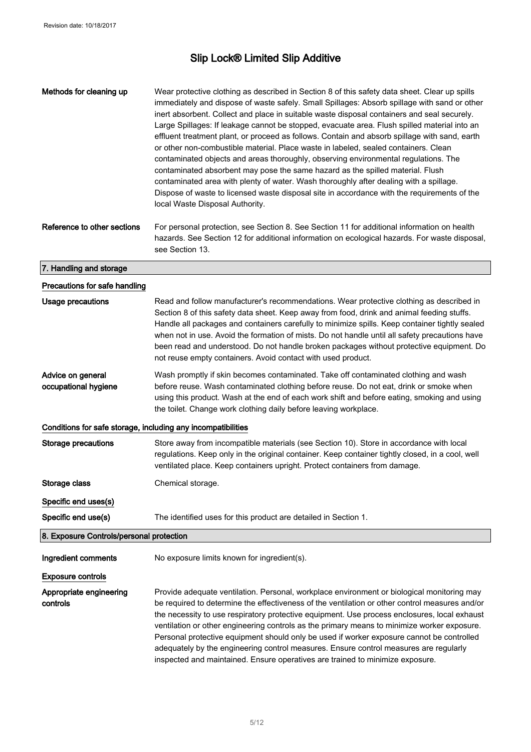| Methods for cleaning up                                      | Wear protective clothing as described in Section 8 of this safety data sheet. Clear up spills<br>immediately and dispose of waste safely. Small Spillages: Absorb spillage with sand or other<br>inert absorbent. Collect and place in suitable waste disposal containers and seal securely.<br>Large Spillages: If leakage cannot be stopped, evacuate area. Flush spilled material into an<br>effluent treatment plant, or proceed as follows. Contain and absorb spillage with sand, earth<br>or other non-combustible material. Place waste in labeled, sealed containers. Clean<br>contaminated objects and areas thoroughly, observing environmental regulations. The<br>contaminated absorbent may pose the same hazard as the spilled material. Flush<br>contaminated area with plenty of water. Wash thoroughly after dealing with a spillage.<br>Dispose of waste to licensed waste disposal site in accordance with the requirements of the<br>local Waste Disposal Authority. |
|--------------------------------------------------------------|-------------------------------------------------------------------------------------------------------------------------------------------------------------------------------------------------------------------------------------------------------------------------------------------------------------------------------------------------------------------------------------------------------------------------------------------------------------------------------------------------------------------------------------------------------------------------------------------------------------------------------------------------------------------------------------------------------------------------------------------------------------------------------------------------------------------------------------------------------------------------------------------------------------------------------------------------------------------------------------------|
| Reference to other sections                                  | For personal protection, see Section 8. See Section 11 for additional information on health<br>hazards. See Section 12 for additional information on ecological hazards. For waste disposal,<br>see Section 13.                                                                                                                                                                                                                                                                                                                                                                                                                                                                                                                                                                                                                                                                                                                                                                           |
| 7. Handling and storage                                      |                                                                                                                                                                                                                                                                                                                                                                                                                                                                                                                                                                                                                                                                                                                                                                                                                                                                                                                                                                                           |
| Precautions for safe handling                                |                                                                                                                                                                                                                                                                                                                                                                                                                                                                                                                                                                                                                                                                                                                                                                                                                                                                                                                                                                                           |
| <b>Usage precautions</b>                                     | Read and follow manufacturer's recommendations. Wear protective clothing as described in<br>Section 8 of this safety data sheet. Keep away from food, drink and animal feeding stuffs.<br>Handle all packages and containers carefully to minimize spills. Keep container tightly sealed<br>when not in use. Avoid the formation of mists. Do not handle until all safety precautions have<br>been read and understood. Do not handle broken packages without protective equipment. Do<br>not reuse empty containers. Avoid contact with used product.                                                                                                                                                                                                                                                                                                                                                                                                                                    |
| Advice on general<br>occupational hygiene                    | Wash promptly if skin becomes contaminated. Take off contaminated clothing and wash<br>before reuse. Wash contaminated clothing before reuse. Do not eat, drink or smoke when<br>using this product. Wash at the end of each work shift and before eating, smoking and using<br>the toilet. Change work clothing daily before leaving workplace.                                                                                                                                                                                                                                                                                                                                                                                                                                                                                                                                                                                                                                          |
| Conditions for safe storage, including any incompatibilities |                                                                                                                                                                                                                                                                                                                                                                                                                                                                                                                                                                                                                                                                                                                                                                                                                                                                                                                                                                                           |
| <b>Storage precautions</b>                                   | Store away from incompatible materials (see Section 10). Store in accordance with local<br>regulations. Keep only in the original container. Keep container tightly closed, in a cool, well<br>ventilated place. Keep containers upright. Protect containers from damage.                                                                                                                                                                                                                                                                                                                                                                                                                                                                                                                                                                                                                                                                                                                 |
| Storage class                                                | Chemical storage.                                                                                                                                                                                                                                                                                                                                                                                                                                                                                                                                                                                                                                                                                                                                                                                                                                                                                                                                                                         |
| Specific end uses(s)                                         |                                                                                                                                                                                                                                                                                                                                                                                                                                                                                                                                                                                                                                                                                                                                                                                                                                                                                                                                                                                           |
| Specific end use(s)                                          | The identified uses for this product are detailed in Section 1.                                                                                                                                                                                                                                                                                                                                                                                                                                                                                                                                                                                                                                                                                                                                                                                                                                                                                                                           |
| 8. Exposure Controls/personal protection                     |                                                                                                                                                                                                                                                                                                                                                                                                                                                                                                                                                                                                                                                                                                                                                                                                                                                                                                                                                                                           |
| Ingredient comments                                          | No exposure limits known for ingredient(s).                                                                                                                                                                                                                                                                                                                                                                                                                                                                                                                                                                                                                                                                                                                                                                                                                                                                                                                                               |
| <b>Exposure controls</b>                                     |                                                                                                                                                                                                                                                                                                                                                                                                                                                                                                                                                                                                                                                                                                                                                                                                                                                                                                                                                                                           |
| Appropriate engineering<br>controls                          | Provide adequate ventilation. Personal, workplace environment or biological monitoring may<br>be required to determine the effectiveness of the ventilation or other control measures and/or<br>the necessity to use respiratory protective equipment. Use process enclosures, local exhaust<br>ventilation or other engineering controls as the primary means to minimize worker exposure.<br>Personal protective equipment should only be used if worker exposure cannot be controlled<br>adequately by the engineering control measures. Ensure control measures are regularly<br>inspected and maintained. Ensure operatives are trained to minimize exposure.                                                                                                                                                                                                                                                                                                                        |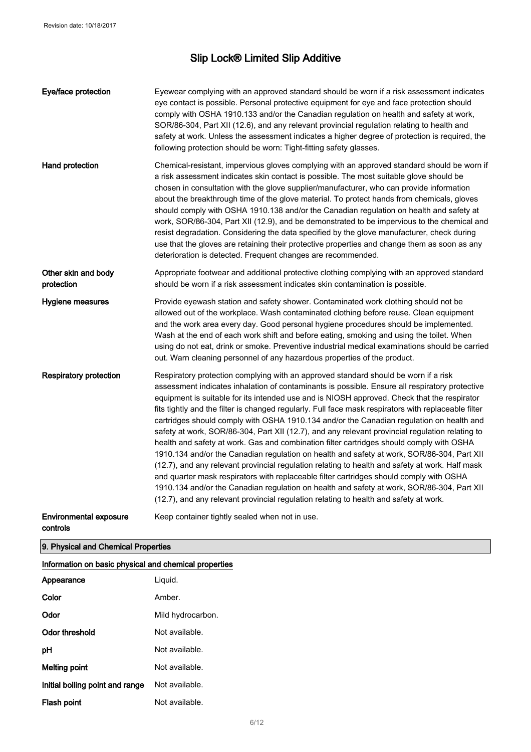| Eye/face protection                                   | Eyewear complying with an approved standard should be worn if a risk assessment indicates<br>eye contact is possible. Personal protective equipment for eye and face protection should<br>comply with OSHA 1910.133 and/or the Canadian regulation on health and safety at work,<br>SOR/86-304, Part XII (12.6), and any relevant provincial regulation relating to health and<br>safety at work. Unless the assessment indicates a higher degree of protection is required, the<br>following protection should be worn: Tight-fitting safety glasses.                                                                                                                                                                                                                                                                                                                                                                                                                                                                                                                                                                                                                     |
|-------------------------------------------------------|----------------------------------------------------------------------------------------------------------------------------------------------------------------------------------------------------------------------------------------------------------------------------------------------------------------------------------------------------------------------------------------------------------------------------------------------------------------------------------------------------------------------------------------------------------------------------------------------------------------------------------------------------------------------------------------------------------------------------------------------------------------------------------------------------------------------------------------------------------------------------------------------------------------------------------------------------------------------------------------------------------------------------------------------------------------------------------------------------------------------------------------------------------------------------|
| Hand protection                                       | Chemical-resistant, impervious gloves complying with an approved standard should be worn if<br>a risk assessment indicates skin contact is possible. The most suitable glove should be<br>chosen in consultation with the glove supplier/manufacturer, who can provide information<br>about the breakthrough time of the glove material. To protect hands from chemicals, gloves<br>should comply with OSHA 1910.138 and/or the Canadian regulation on health and safety at<br>work, SOR/86-304, Part XII (12.9), and be demonstrated to be impervious to the chemical and<br>resist degradation. Considering the data specified by the glove manufacturer, check during<br>use that the gloves are retaining their protective properties and change them as soon as any<br>deterioration is detected. Frequent changes are recommended.                                                                                                                                                                                                                                                                                                                                   |
| Other skin and body<br>protection                     | Appropriate footwear and additional protective clothing complying with an approved standard<br>should be worn if a risk assessment indicates skin contamination is possible.                                                                                                                                                                                                                                                                                                                                                                                                                                                                                                                                                                                                                                                                                                                                                                                                                                                                                                                                                                                               |
| Hygiene measures                                      | Provide eyewash station and safety shower. Contaminated work clothing should not be<br>allowed out of the workplace. Wash contaminated clothing before reuse. Clean equipment<br>and the work area every day. Good personal hygiene procedures should be implemented.<br>Wash at the end of each work shift and before eating, smoking and using the toilet. When<br>using do not eat, drink or smoke. Preventive industrial medical examinations should be carried<br>out. Warn cleaning personnel of any hazardous properties of the product.                                                                                                                                                                                                                                                                                                                                                                                                                                                                                                                                                                                                                            |
| <b>Respiratory protection</b>                         | Respiratory protection complying with an approved standard should be worn if a risk<br>assessment indicates inhalation of contaminants is possible. Ensure all respiratory protective<br>equipment is suitable for its intended use and is NIOSH approved. Check that the respirator<br>fits tightly and the filter is changed regularly. Full face mask respirators with replaceable filter<br>cartridges should comply with OSHA 1910.134 and/or the Canadian regulation on health and<br>safety at work, SOR/86-304, Part XII (12.7), and any relevant provincial regulation relating to<br>health and safety at work. Gas and combination filter cartridges should comply with OSHA<br>1910.134 and/or the Canadian regulation on health and safety at work, SOR/86-304, Part XII<br>(12.7), and any relevant provincial regulation relating to health and safety at work. Half mask<br>and quarter mask respirators with replaceable filter cartridges should comply with OSHA<br>1910.134 and/or the Canadian regulation on health and safety at work, SOR/86-304, Part XII<br>(12.7), and any relevant provincial regulation relating to health and safety at work. |
| <b>Environmental exposure</b><br>controls             | Keep container tightly sealed when not in use.                                                                                                                                                                                                                                                                                                                                                                                                                                                                                                                                                                                                                                                                                                                                                                                                                                                                                                                                                                                                                                                                                                                             |
| 9. Physical and Chemical Properties                   |                                                                                                                                                                                                                                                                                                                                                                                                                                                                                                                                                                                                                                                                                                                                                                                                                                                                                                                                                                                                                                                                                                                                                                            |
| Information on basic physical and chemical properties |                                                                                                                                                                                                                                                                                                                                                                                                                                                                                                                                                                                                                                                                                                                                                                                                                                                                                                                                                                                                                                                                                                                                                                            |
| Appearance                                            | Liquid.                                                                                                                                                                                                                                                                                                                                                                                                                                                                                                                                                                                                                                                                                                                                                                                                                                                                                                                                                                                                                                                                                                                                                                    |
| Color                                                 | Amber.                                                                                                                                                                                                                                                                                                                                                                                                                                                                                                                                                                                                                                                                                                                                                                                                                                                                                                                                                                                                                                                                                                                                                                     |
| Odor                                                  | Mild hydrocarbon.                                                                                                                                                                                                                                                                                                                                                                                                                                                                                                                                                                                                                                                                                                                                                                                                                                                                                                                                                                                                                                                                                                                                                          |
| <b>Odor threshold</b>                                 | Not available.                                                                                                                                                                                                                                                                                                                                                                                                                                                                                                                                                                                                                                                                                                                                                                                                                                                                                                                                                                                                                                                                                                                                                             |

pH Not available.

Melting point **Not available.** 

Initial boiling point and range Not available. Flash point **Not available**.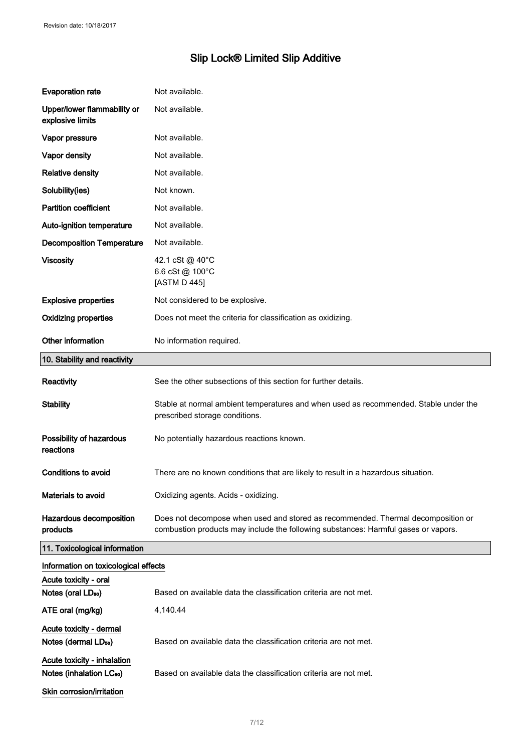| <b>Evaporation rate</b>                                                                          | Not available.                                                                                                                                                         |  |
|--------------------------------------------------------------------------------------------------|------------------------------------------------------------------------------------------------------------------------------------------------------------------------|--|
| Upper/lower flammability or<br>explosive limits                                                  | Not available.                                                                                                                                                         |  |
| Vapor pressure                                                                                   | Not available.                                                                                                                                                         |  |
| Vapor density                                                                                    | Not available.                                                                                                                                                         |  |
| <b>Relative density</b>                                                                          | Not available.                                                                                                                                                         |  |
| Solubility(ies)                                                                                  | Not known.                                                                                                                                                             |  |
| <b>Partition coefficient</b>                                                                     | Not available.                                                                                                                                                         |  |
| Auto-ignition temperature                                                                        | Not available.                                                                                                                                                         |  |
| <b>Decomposition Temperature</b>                                                                 | Not available.                                                                                                                                                         |  |
| <b>Viscosity</b>                                                                                 | 42.1 cSt @ 40°C<br>6.6 cSt @ 100°C<br>[ASTM D 445]                                                                                                                     |  |
| <b>Explosive properties</b>                                                                      | Not considered to be explosive.                                                                                                                                        |  |
| <b>Oxidizing properties</b>                                                                      | Does not meet the criteria for classification as oxidizing.                                                                                                            |  |
| Other information                                                                                | No information required.                                                                                                                                               |  |
| 10. Stability and reactivity                                                                     |                                                                                                                                                                        |  |
| Reactivity                                                                                       | See the other subsections of this section for further details.                                                                                                         |  |
| <b>Stability</b>                                                                                 | Stable at normal ambient temperatures and when used as recommended. Stable under the<br>prescribed storage conditions.                                                 |  |
| Possibility of hazardous<br>reactions                                                            | No potentially hazardous reactions known.                                                                                                                              |  |
| <b>Conditions to avoid</b>                                                                       | There are no known conditions that are likely to result in a hazardous situation.                                                                                      |  |
| Materials to avoid                                                                               | Oxidizing agents. Acids - oxidizing.                                                                                                                                   |  |
| Hazardous decomposition<br>products                                                              | Does not decompose when used and stored as recommended. Thermal decomposition or<br>combustion products may include the following substances: Harmful gases or vapors. |  |
| 11. Toxicological information                                                                    |                                                                                                                                                                        |  |
| Information on toxicological effects                                                             |                                                                                                                                                                        |  |
| Acute toxicity - oral                                                                            | Based on available data the classification criteria are not met.                                                                                                       |  |
| Notes (oral LD <sub>50</sub> )                                                                   |                                                                                                                                                                        |  |
| ATE oral (mg/kg)                                                                                 | 4,140.44                                                                                                                                                               |  |
| Acute toxicity - dermal<br>Notes (dermal LD <sub>50</sub> )                                      | Based on available data the classification criteria are not met.                                                                                                       |  |
| Acute toxicity - inhalation<br>Notes (inhalation LC <sub>50</sub> )<br>Skin corrosion/irritation | Based on available data the classification criteria are not met.                                                                                                       |  |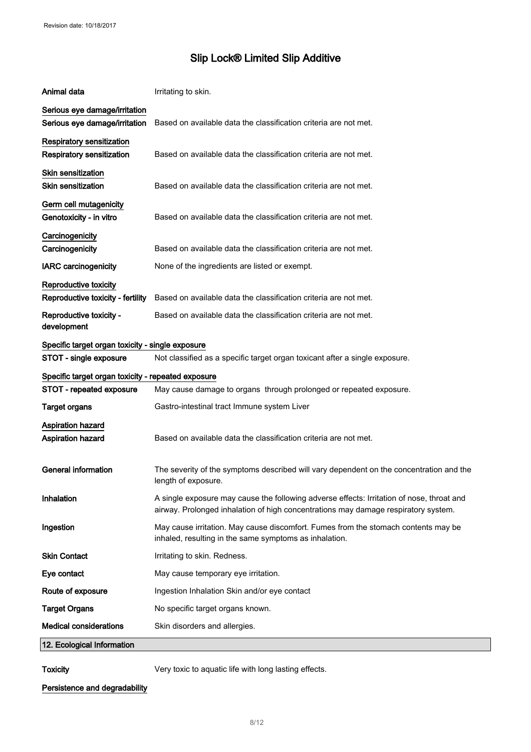| Animal data                                                    | Irritating to skin.                                                                                                                                                             |  |
|----------------------------------------------------------------|---------------------------------------------------------------------------------------------------------------------------------------------------------------------------------|--|
| Serious eye damage/irritation<br>Serious eye damage/irritation | Based on available data the classification criteria are not met.                                                                                                                |  |
| Respiratory sensitization<br>Respiratory sensitization         | Based on available data the classification criteria are not met.                                                                                                                |  |
| <b>Skin sensitization</b><br><b>Skin sensitization</b>         | Based on available data the classification criteria are not met.                                                                                                                |  |
| Germ cell mutagenicity<br>Genotoxicity - in vitro              | Based on available data the classification criteria are not met.                                                                                                                |  |
| Carcinogenicity<br>Carcinogenicity                             | Based on available data the classification criteria are not met.                                                                                                                |  |
| <b>IARC</b> carcinogenicity                                    | None of the ingredients are listed or exempt.                                                                                                                                   |  |
| Reproductive toxicity<br>Reproductive toxicity - fertility     | Based on available data the classification criteria are not met.                                                                                                                |  |
| Reproductive toxicity -<br>development                         | Based on available data the classification criteria are not met.                                                                                                                |  |
| Specific target organ toxicity - single exposure               |                                                                                                                                                                                 |  |
| STOT - single exposure                                         | Not classified as a specific target organ toxicant after a single exposure.                                                                                                     |  |
| Specific target organ toxicity - repeated exposure             |                                                                                                                                                                                 |  |
| STOT - repeated exposure                                       | May cause damage to organs through prolonged or repeated exposure.                                                                                                              |  |
| <b>Target organs</b>                                           | Gastro-intestinal tract Immune system Liver                                                                                                                                     |  |
| Aspiration hazard<br><b>Aspiration hazard</b>                  | Based on available data the classification criteria are not met.                                                                                                                |  |
| <b>General information</b>                                     | The severity of the symptoms described will vary dependent on the concentration and the<br>length of exposure.                                                                  |  |
| Inhalation                                                     | A single exposure may cause the following adverse effects: Irritation of nose, throat and<br>airway. Prolonged inhalation of high concentrations may damage respiratory system. |  |
| Ingestion                                                      | May cause irritation. May cause discomfort. Fumes from the stomach contents may be<br>inhaled, resulting in the same symptoms as inhalation.                                    |  |
| <b>Skin Contact</b>                                            | Irritating to skin. Redness.                                                                                                                                                    |  |
| Eye contact                                                    | May cause temporary eye irritation.                                                                                                                                             |  |
| Route of exposure                                              | Ingestion Inhalation Skin and/or eye contact                                                                                                                                    |  |
| <b>Target Organs</b>                                           | No specific target organs known.                                                                                                                                                |  |
| <b>Medical considerations</b>                                  | Skin disorders and allergies.                                                                                                                                                   |  |
| 12. Ecological Information                                     |                                                                                                                                                                                 |  |
|                                                                |                                                                                                                                                                                 |  |

Toxicity **Very toxic to aquatic life with long lasting effects.** 

Persistence and degradability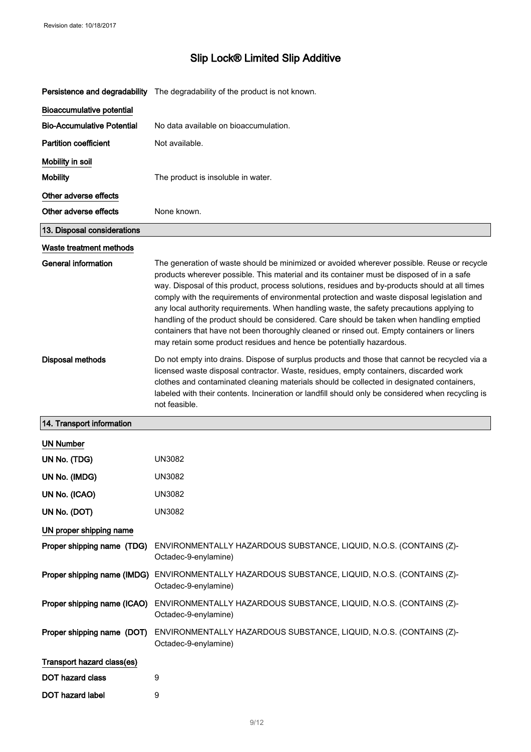|                                   | Persistence and degradability The degradability of the product is not known.                                                                                                                                                                                                                                                                                                                                                                                                                                                                                                                                                                                                                                                                            |  |  |
|-----------------------------------|---------------------------------------------------------------------------------------------------------------------------------------------------------------------------------------------------------------------------------------------------------------------------------------------------------------------------------------------------------------------------------------------------------------------------------------------------------------------------------------------------------------------------------------------------------------------------------------------------------------------------------------------------------------------------------------------------------------------------------------------------------|--|--|
| <b>Bioaccumulative potential</b>  |                                                                                                                                                                                                                                                                                                                                                                                                                                                                                                                                                                                                                                                                                                                                                         |  |  |
| <b>Bio-Accumulative Potential</b> | No data available on bioaccumulation.                                                                                                                                                                                                                                                                                                                                                                                                                                                                                                                                                                                                                                                                                                                   |  |  |
| <b>Partition coefficient</b>      | Not available.                                                                                                                                                                                                                                                                                                                                                                                                                                                                                                                                                                                                                                                                                                                                          |  |  |
| Mobility in soil                  |                                                                                                                                                                                                                                                                                                                                                                                                                                                                                                                                                                                                                                                                                                                                                         |  |  |
| <b>Mobility</b>                   | The product is insoluble in water.                                                                                                                                                                                                                                                                                                                                                                                                                                                                                                                                                                                                                                                                                                                      |  |  |
| Other adverse effects             |                                                                                                                                                                                                                                                                                                                                                                                                                                                                                                                                                                                                                                                                                                                                                         |  |  |
| Other adverse effects             | None known.                                                                                                                                                                                                                                                                                                                                                                                                                                                                                                                                                                                                                                                                                                                                             |  |  |
| 13. Disposal considerations       |                                                                                                                                                                                                                                                                                                                                                                                                                                                                                                                                                                                                                                                                                                                                                         |  |  |
| Waste treatment methods           |                                                                                                                                                                                                                                                                                                                                                                                                                                                                                                                                                                                                                                                                                                                                                         |  |  |
| <b>General information</b>        | The generation of waste should be minimized or avoided wherever possible. Reuse or recycle<br>products wherever possible. This material and its container must be disposed of in a safe<br>way. Disposal of this product, process solutions, residues and by-products should at all times<br>comply with the requirements of environmental protection and waste disposal legislation and<br>any local authority requirements. When handling waste, the safety precautions applying to<br>handling of the product should be considered. Care should be taken when handling emptied<br>containers that have not been thoroughly cleaned or rinsed out. Empty containers or liners<br>may retain some product residues and hence be potentially hazardous. |  |  |
| Disposal methods                  | Do not empty into drains. Dispose of surplus products and those that cannot be recycled via a<br>licensed waste disposal contractor. Waste, residues, empty containers, discarded work<br>clothes and contaminated cleaning materials should be collected in designated containers,<br>labeled with their contents. Incineration or landfill should only be considered when recycling is<br>not feasible.                                                                                                                                                                                                                                                                                                                                               |  |  |
| 14. Transport information         |                                                                                                                                                                                                                                                                                                                                                                                                                                                                                                                                                                                                                                                                                                                                                         |  |  |
| <b>UN Number</b>                  |                                                                                                                                                                                                                                                                                                                                                                                                                                                                                                                                                                                                                                                                                                                                                         |  |  |
| UN No. (TDG)                      | UN3082                                                                                                                                                                                                                                                                                                                                                                                                                                                                                                                                                                                                                                                                                                                                                  |  |  |
| UN No. (IMDG)                     | <b>UN3082</b>                                                                                                                                                                                                                                                                                                                                                                                                                                                                                                                                                                                                                                                                                                                                           |  |  |
| UN No. (ICAO)                     | <b>UN3082</b>                                                                                                                                                                                                                                                                                                                                                                                                                                                                                                                                                                                                                                                                                                                                           |  |  |
| UN No. (DOT)                      | <b>UN3082</b>                                                                                                                                                                                                                                                                                                                                                                                                                                                                                                                                                                                                                                                                                                                                           |  |  |
| UN proper shipping name           |                                                                                                                                                                                                                                                                                                                                                                                                                                                                                                                                                                                                                                                                                                                                                         |  |  |
| Proper shipping name (TDG)        | ENVIRONMENTALLY HAZARDOUS SUBSTANCE, LIQUID, N.O.S. (CONTAINS (Z)-<br>Octadec-9-enylamine)                                                                                                                                                                                                                                                                                                                                                                                                                                                                                                                                                                                                                                                              |  |  |
| Proper shipping name (IMDG)       | ENVIRONMENTALLY HAZARDOUS SUBSTANCE, LIQUID, N.O.S. (CONTAINS (Z)-<br>Octadec-9-enylamine)                                                                                                                                                                                                                                                                                                                                                                                                                                                                                                                                                                                                                                                              |  |  |
| Proper shipping name (ICAO)       | ENVIRONMENTALLY HAZARDOUS SUBSTANCE, LIQUID, N.O.S. (CONTAINS (Z)-<br>Octadec-9-enylamine)                                                                                                                                                                                                                                                                                                                                                                                                                                                                                                                                                                                                                                                              |  |  |
| Proper shipping name (DOT)        | ENVIRONMENTALLY HAZARDOUS SUBSTANCE, LIQUID, N.O.S. (CONTAINS (Z)-<br>Octadec-9-enylamine)                                                                                                                                                                                                                                                                                                                                                                                                                                                                                                                                                                                                                                                              |  |  |
| Transport hazard class(es)        |                                                                                                                                                                                                                                                                                                                                                                                                                                                                                                                                                                                                                                                                                                                                                         |  |  |
| <b>DOT hazard class</b>           | 9                                                                                                                                                                                                                                                                                                                                                                                                                                                                                                                                                                                                                                                                                                                                                       |  |  |
| <b>DOT hazard label</b>           | 9                                                                                                                                                                                                                                                                                                                                                                                                                                                                                                                                                                                                                                                                                                                                                       |  |  |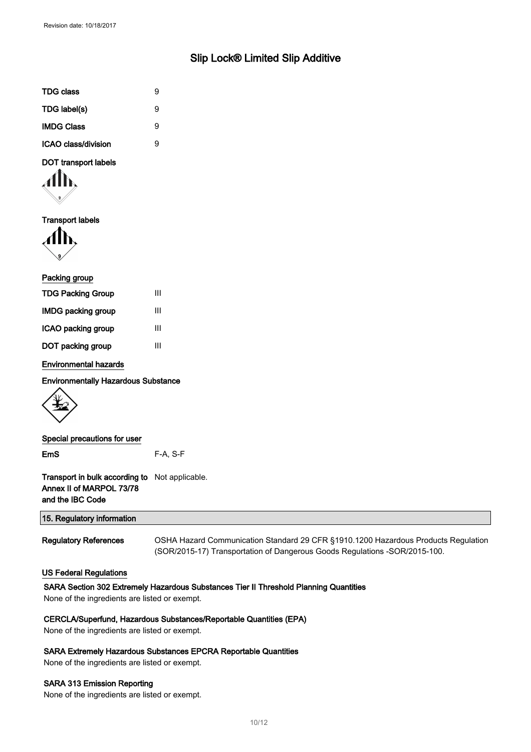| TDG class                  | 9 |
|----------------------------|---|
| TDG label(s)               | 9 |
| <b>IMDG Class</b>          | 9 |
| <b>ICAO class/division</b> | я |

### DOT transport labels

Transport labels

| Packing group             |   |
|---------------------------|---|
| <b>TDG Packing Group</b>  | Ш |
| <b>IMDG packing group</b> | Ш |
| ICAO packing group        | Ш |
| DOT packing group         | Ш |
|                           |   |

Environmental hazards

Environmentally Hazardous Substance



| Special precautions for user |          |
|------------------------------|----------|
| <b>EmS</b>                   | F-A. S-F |

Transport in bulk according to Not applicable. Annex II of MARPOL 73/78 and the IBC Code

| 15. Regulatory information   |                                                                                    |
|------------------------------|------------------------------------------------------------------------------------|
|                              |                                                                                    |
| <b>Regulatory References</b> | OSHA Hazard Communication Standard 29 CFR §1910.1200 Hazardous Products Regulation |

(SOR/2015-17) Transportation of Dangerous Goods Regulations -SOR/2015-100.

#### US Federal Regulations

#### SARA Section 302 Extremely Hazardous Substances Tier II Threshold Planning Quantities

None of the ingredients are listed or exempt.

#### CERCLA/Superfund, Hazardous Substances/Reportable Quantities (EPA)

None of the ingredients are listed or exempt.

#### SARA Extremely Hazardous Substances EPCRA Reportable Quantities

None of the ingredients are listed or exempt.

#### SARA 313 Emission Reporting

None of the ingredients are listed or exempt.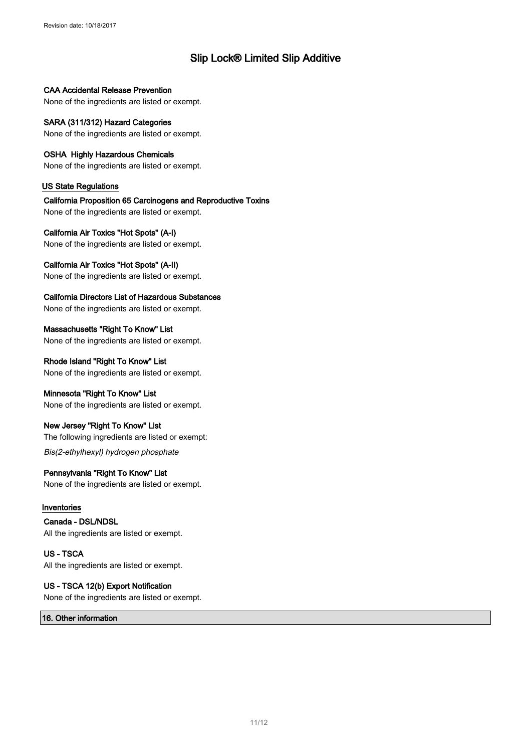CAA Accidental Release Prevention

None of the ingredients are listed or exempt.

#### SARA (311/312) Hazard Categories None of the ingredients are listed or exempt.

OSHA Highly Hazardous Chemicals

None of the ingredients are listed or exempt.

#### US State Regulations

California Proposition 65 Carcinogens and Reproductive Toxins None of the ingredients are listed or exempt.

#### California Air Toxics "Hot Spots" (A-I)

None of the ingredients are listed or exempt.

#### California Air Toxics "Hot Spots" (A-II)

None of the ingredients are listed or exempt.

#### California Directors List of Hazardous Substances

None of the ingredients are listed or exempt.

Massachusetts "Right To Know" List None of the ingredients are listed or exempt.

### Rhode Island "Right To Know" List

None of the ingredients are listed or exempt.

#### Minnesota "Right To Know" List

None of the ingredients are listed or exempt.

#### New Jersey "Right To Know" List

The following ingredients are listed or exempt:

#### Bis(2-ethylhexyl) hydrogen phosphate

### Pennsylvania "Right To Know" List

None of the ingredients are listed or exempt.

#### Inventories

Canada - DSL/NDSL All the ingredients are listed or exempt.

US - TSCA All the ingredients are listed or exempt.

### US - TSCA 12(b) Export Notification

None of the ingredients are listed or exempt.

16. Other information